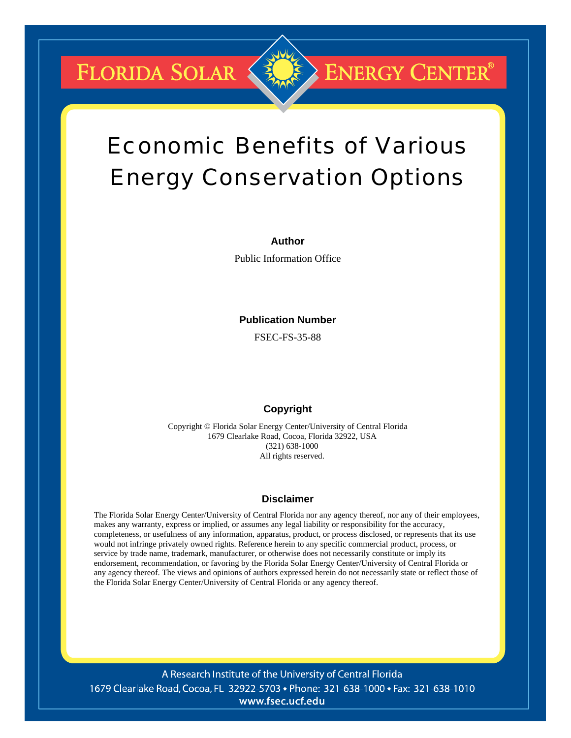FLORIDA SOLAR

# Economic Benefits of Various Energy Conservation Options

**ENERGY CENTER®** 

#### **Author**

Public Information Office

#### **Publication Number**

FSEC-FS-35-88

#### **Copyright**

Copyright © Florida Solar Energy Center/University of Central Florida 1679 Clearlake Road, Cocoa, Florida 32922, USA (321) 638-1000 All rights reserved.

#### **Disclaimer**

The Florida Solar Energy Center/University of Central Florida nor any agency thereof, nor any of their employees, makes any warranty, express or implied, or assumes any legal liability or responsibility for the accuracy, completeness, or usefulness of any information, apparatus, product, or process disclosed, or represents that its use would not infringe privately owned rights. Reference herein to any specific commercial product, process, or service by trade name, trademark, manufacturer, or otherwise does not necessarily constitute or imply its endorsement, recommendation, or favoring by the Florida Solar Energy Center/University of Central Florida or any agency thereof. The views and opinions of authors expressed herein do not necessarily state or reflect those of the Florida Solar Energy Center/University of Central Florida or any agency thereof.

A Research Institute of the University of Central Florida 1679 Clearlake Road, Cocoa, FL 32922-5703 • Phone: 321-638-1000 • Fax: 321-638-1010 www.fsec.ucf.edu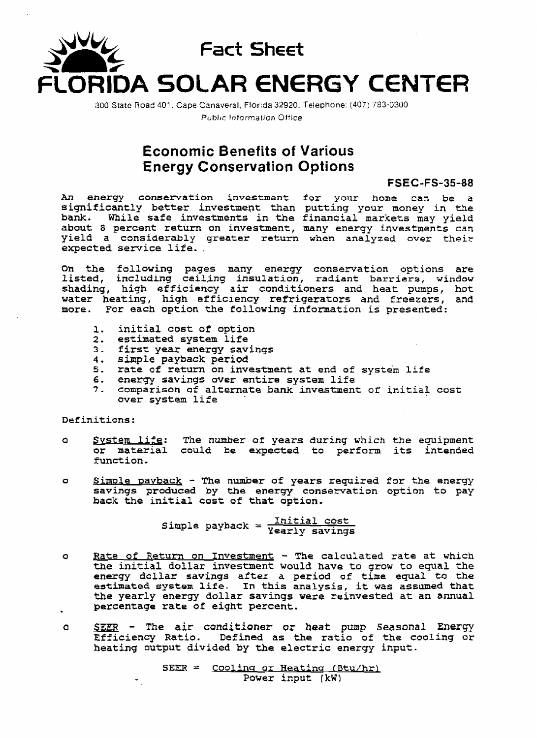

**300** State Road 401 . **Cape** Canaveral, **Florida** 32920. Telephone: (407) 783-0300 Public Information Office

### **Economic Benefits of Various Energy Conservation Options**

#### **FSEC-FS-35-88**

**An energy conservation investment for** your **home can be a significantly better investment than putting** your **money in the bank. While safe investments in the financial markets may yield about 8 percent return on investment, many energy investments can yield a considerably greater return when analyzed over their expected service life.** .

**Oh the following pages many energy conservation options are listed, including ceiling insulation, radiant barriers, window shading, high efficiency air conditioners and heat pumps,** hot **water heating, high efficiency** refrigerators **and freezers, and more. For each** option **the following information is presented:** 

- **1. initial cost af option**
- **2. estimated system life**
- **3.** first **year energy savings**
- **4. simple payback period**
- **5. rate of return on investnent at end of system life**
- **6. energy savings over entire system life**
- **7. comparison of** alternate **bank investment of** initla? **cost over system life**

**Definitions:** 

- 5. rate of return on investment at end of system life<br>6. energy savings over entire system life<br>7. comparison of alternate bank investment of initial cost<br>0 over system life<br>Definitions:<br>8 <u>System life</u>: The number of year **or material** could **be expected to** perform **its intended function.**
- **o** Simple payback The number of years required for the energy **savings produced by the energy conservation option to pay back the** initial **cost of that** option.

**Initial cost Simple payback** <sup>=</sup>**Yearly savings** 

- **<sup>o</sup>Bate of** Return **on Investment The calculated rate at which the initial dollar investment would have to grow to equal the energy dollar savings after a period of time equal to the estimated** *system* **life. In this analysis, it was assumed that the yearly energy dollar savings were reinvested at an annual percentage rate of eight percent.**
- **<sup>o</sup>SEER The air conditioner or** *heat* **punp Seasonal Energy Efficiency Ratio. Defined as the ratio of the cooling or heating** output **divided by the electric energy** input.

SEER = Cooling or Heating (Btu/hr) - **Power** input **(kW)**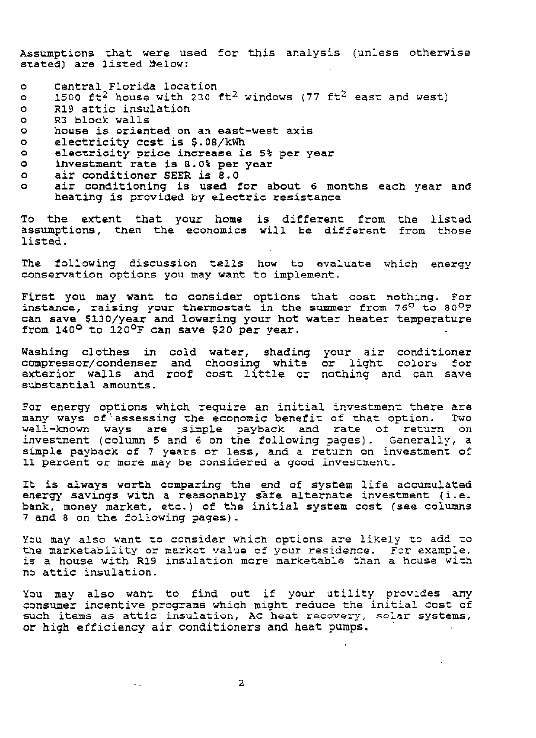**~ssumptions that were used** for **this** analysis **(unless othernise stated) are listed %law:** 

- **Central Florida location**   $\bullet$
- **1500 ft2 house** with **230** ft2 **windows (77 ft2 east and west)**   $\circ$
- **R19 attic** insulation  $\circ$
- **R3 block walls**   $\circ$
- $\bullet$ **house is oriented on an east-west axis**
- **electricity cost is \$.OS/kWh**   $\bullet$
- **electricity price increase is 5% per year**   $\bullet$
- **investment rate is 8.0% per year**   $\circ$
- **air conditioner SEER is 8.0**   $\bullet$
- **air conditioning is used** for **about 6 months each year and**   $\bullet$ **heating is provided by electric resistance**

**To the extent that** your **home is different** from the **listed assumptions,** then **the economics will be different** from **those listed.** 

**The following discussion** *tells* how to **evaluate which energy**  conservation options you may want to implement.

**First you may want to** consider **options that cost** nothing. **For instance, raising your thermostat in the summer from 76O to 80O~**  can **save \$130/year and lowering your** hot **water heater temperature from 140°** to **120~~** can **save \$20 per year.** 

**Washing clothes in** cold **water, shading** your **air conditioner compressor/c~ndenser and choosing white or light colors** for **exterior walls and roof** cost little cr nothing **and** can **save substantial amounts.** 

For energy options which require an initial investment there are many **ways of ',assessing the economic benefit of that** option. **Two well-known ways are simple payback and** rate **of** return **on investment (column 5 and 6 on the following pages). Generally, a simple payback of 7 years or less, and a** return **on investment of 11** percent **or** more may **be considered a gcod investment,** 

It **is aLways worth** comparing **the** *end* **of system life accumulated energy savings with a reasonably &af e alternate investment** ( **i** . **e. bank, money market,** etc.) **of the** initial **system** cost **(see columns <sup>7</sup>and 8 on** the **following pages)** -

**You may also want** to **consider** which **options are likely to add** to **'C9e marketability or** market **value cf your residznce.** For **example, is a house** with **R19 insulation** more **marketable than a** house **with no attic insulation.** 

You **may also want to find out** if **your** utility **provides any consumer incentive programs which might reduce** the initial **cost of such items as attic insulation, AC heat recovery,** solar **systems, or high efficiency air conditioners and heat pumps.** 

 $\mathcal{L}_{\mathrm{eff}}$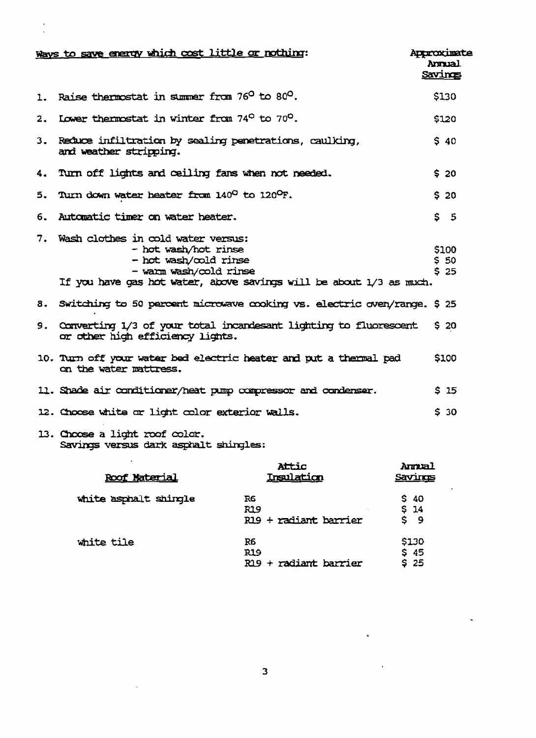|    | Ways to save energy which cost little or nothing:                                                                                                                                       | Approximate<br>Savings | Annual              |  |
|----|-----------------------------------------------------------------------------------------------------------------------------------------------------------------------------------------|------------------------|---------------------|--|
| 1. | Raise thermostat in summer from 76 <sup>0</sup> to 80 <sup>0</sup> .                                                                                                                    |                        | \$130               |  |
| 2. | Lower thermostat in winter from 74 <sup>0</sup> to 70 <sup>0</sup> .                                                                                                                    |                        | \$120               |  |
|    | 3. Reduce infiltration by sealing penetrations, caulking,<br>and weather stripping.                                                                                                     |                        | $S$ 40              |  |
|    | 4. Turn off lights and ceiling fans when not needed.                                                                                                                                    |                        | \$20                |  |
|    | 5. Turn down water heater from 140° to 120°F.                                                                                                                                           |                        | \$20                |  |
| 6. | Automatic timer on water heater.                                                                                                                                                        |                        | 5 <sub>5</sub>      |  |
|    | 7. Wash clothes in cold water versus:<br>- hot wash/hot rinse<br>- hot wash/cold rinse<br>- warm wash/cold rinse<br>If you have gas hot water, above savings will be about 1/3 as much. |                        | \$100<br>550<br>525 |  |
| 8. | Switching to 50 percent microwave cooking vs. electric oven/range. \$25                                                                                                                 |                        |                     |  |
|    | 9. Converting 1/3 of your total incandesant lighting to fluorescent<br>or other high efficiency lights.                                                                                 |                        | S <sub>20</sub>     |  |
|    | 10. Turn off your water bed electric heater and put a thermal pad<br>on the water mattress.                                                                                             |                        | \$100               |  |
|    | 11. Shade air conditioner/heat pump compressor and condenser.                                                                                                                           |                        | \$15                |  |
|    | 12. Choose white or light color exterior walls.                                                                                                                                         |                        | \$30                |  |
|    | 13. Choose a light roof color.                                                                                                                                                          |                        |                     |  |

## Savings versus dark asphalt shingles:

 $\sim$ 

 $\frac{1}{2}$ 

| <u>Roof Material</u>  | Attic<br><u>Insulation</u>                  | Aural<br>Savings                      |
|-----------------------|---------------------------------------------|---------------------------------------|
| white asphalt shingle | R6<br><b>R19</b><br>R19 + radiant barrier   | <b>S</b> 40<br>S <sub>14</sub><br>\$9 |
| white tile            | R6<br><b>R19</b><br>$R19 + radiant$ barrier | \$130<br>\$45<br>\$25                 |

 $\epsilon$ 

 $\ddot{\phantom{a}}$ 

 $\ddot{\bullet}$ 

 $\hat{\mathbf{r}}$